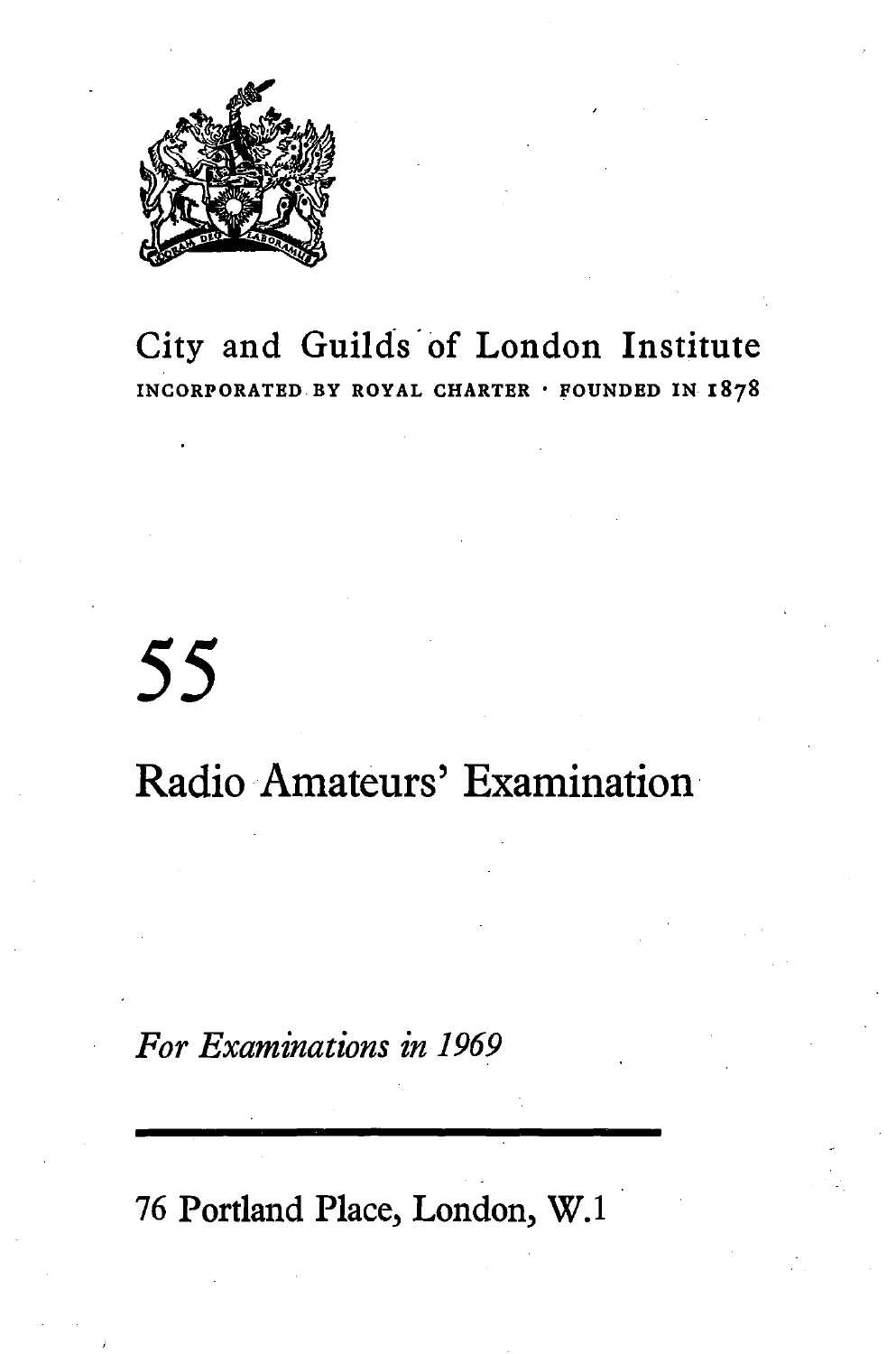

# City and Guilds· of London Institute **INCORPORATED BY ROYAL CHARTER** • **FOUNDED IN 1878**

# 55

# Radio Amateurs' Examination

## *For Examinations in 1969*

76 Portland Place, London, W.1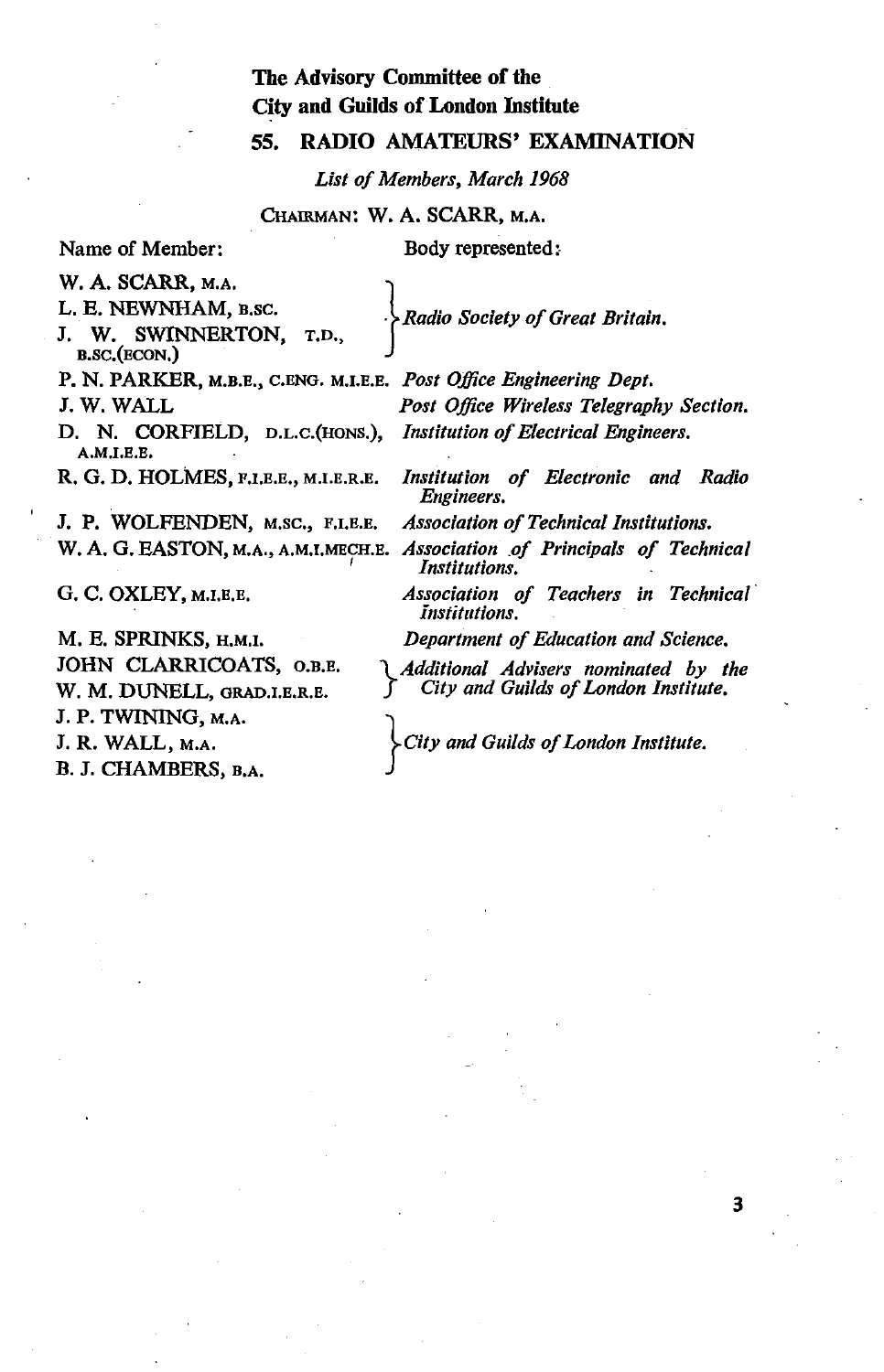### The Advisory Committee of the City and Guilds of London Institute

### 55. RADIO AMATEURS' EXAMINATION

*List of Members, March 1968* 

CHAIRMAN: w. A. SCARR, M.A.

Name of Member:

Body represented:

W. A. SCARR, M.A.<br>L. E. NEWNHAM, B.SC.

L. E. NEWNHAM, B.sc. . *Radio Society of Great Britain.* 

W. SWINNERTON, B.SC.(ECON,)

P. N. PARKER, M.B.E., c.ENG. M.I.E.E. *Post Office Engineering Dept.* 

D. N. CORFIELD, D.L.C.(HONS.), *Institution of Electrical Engineers.*  A.M.I.E.E,

J. P. WOLFENDEN, M.Sc., F.1.E.E. *Association of Technical Institutions.* 

G. c. OXLEY, M.I.E.E.

M. E. SPRINKS, H.M.I. JOHN CLARRICOATS, O.B.E. w. M. DUNELL, GRAD.I.E.R.E. J.P. TWINING, M.A. J. R. WALL, M.A. B. J. CHAMBERS, B,A.

J. W. WALL *Post Office Wireless Telegraphy Section.* 

R. G. D. HOLMES, F.I.E.E,, M.I.E.R.E. *Institution of Electronic and Radio Engineers.*  W. A. G. EASTON, M.A., A.M.I.MECH.E. *Association of Principals of Technical Institutions.* 

> *Association of Teachers in Technical· Institutions.*

*Department of Education and Science.* 

*} Additional Advisers nominated by the City and Guilds of London Institute.* 

*}city and Guilds of London Institute.*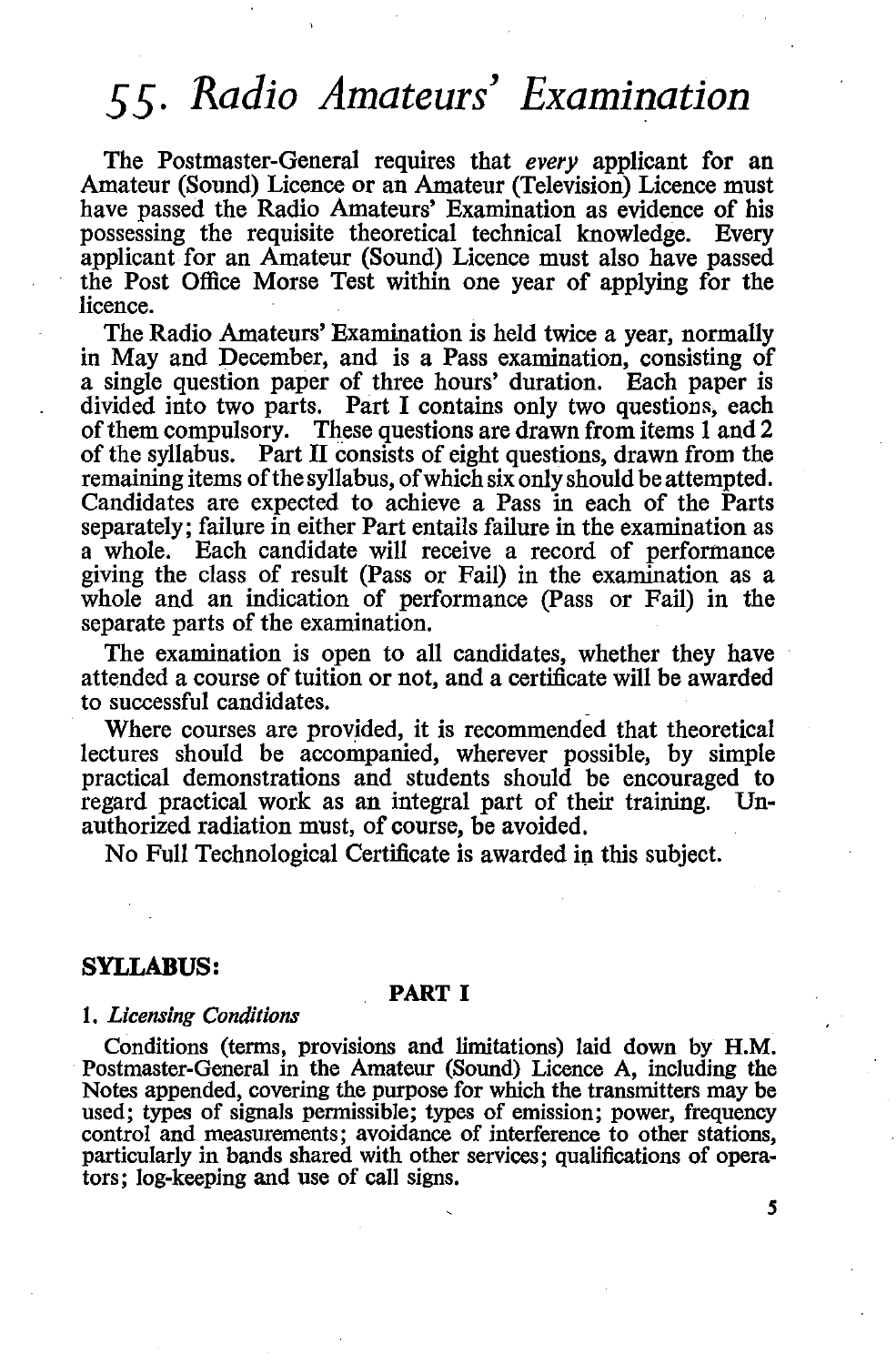# *55. Radio Amateurs' Examination*

The Postmaster-General requires that *every* applicant for an Amateur (Sound) Licence or an Amateur (Television) Licence must have passed the Radio Amateurs' Examination as evidence of his possessing the requisite theoretical technical knowledge. Every applicant for an Amateur (Sound) Licence must also have passed the Post Office Morse Test within one year of applying for the licence.

The Radio Amateurs' Examination is held twice a year, normally in May and December, and is a Pass examination, consisting of a single question paper of three hours' duration. Each paper is divided into two parts. Part I contains only two questions, each of them compulsory. These questions are drawn from items 1 and 2 of the syllabus. Part II consists of eight questions, drawn from the remaining items of the syllabus, of which six only should be attempted. Candidates are expected to achieve a Pass in each of the Parts separately; failure in either Part entails failure in the examination as a whole. Each candidate will receive a record of performance giving the class of result (Pass or Fail) in the examination as a whole and an indication of performance (Pass or Fail) in the separate parts of the examination.

The examination is open to all candidates, whether they have attended a course of tuition or not, and a certificate will be awarded to successful candidates.

Where courses are provided, it is recommended that theoretical lectures should be accompanied, wherever possible, by simple practical demonstrations and students should be encouraged to regard practical work as an integral part of their training. Unauthorized radiation must, of course, be avoided.

No Full Technological Certificate is awarded in this subject.

#### **SYLLABUS:**

#### **PART I**

#### l. *Licensing Conditions*

Conditions (terms, provisions and limitations) laid down by **H.M.**  Postmaster-General in the Amateur (Sound) Licence A, including the Notes appended, covering the purpose for which the transmitters may be used; types of signals permissible; types of emission; power, frequency control and measurements; avoidance of interference to other stations. particularly in bands shared with other services; qualifications of operators; log-keeping and use of call signs.

*s*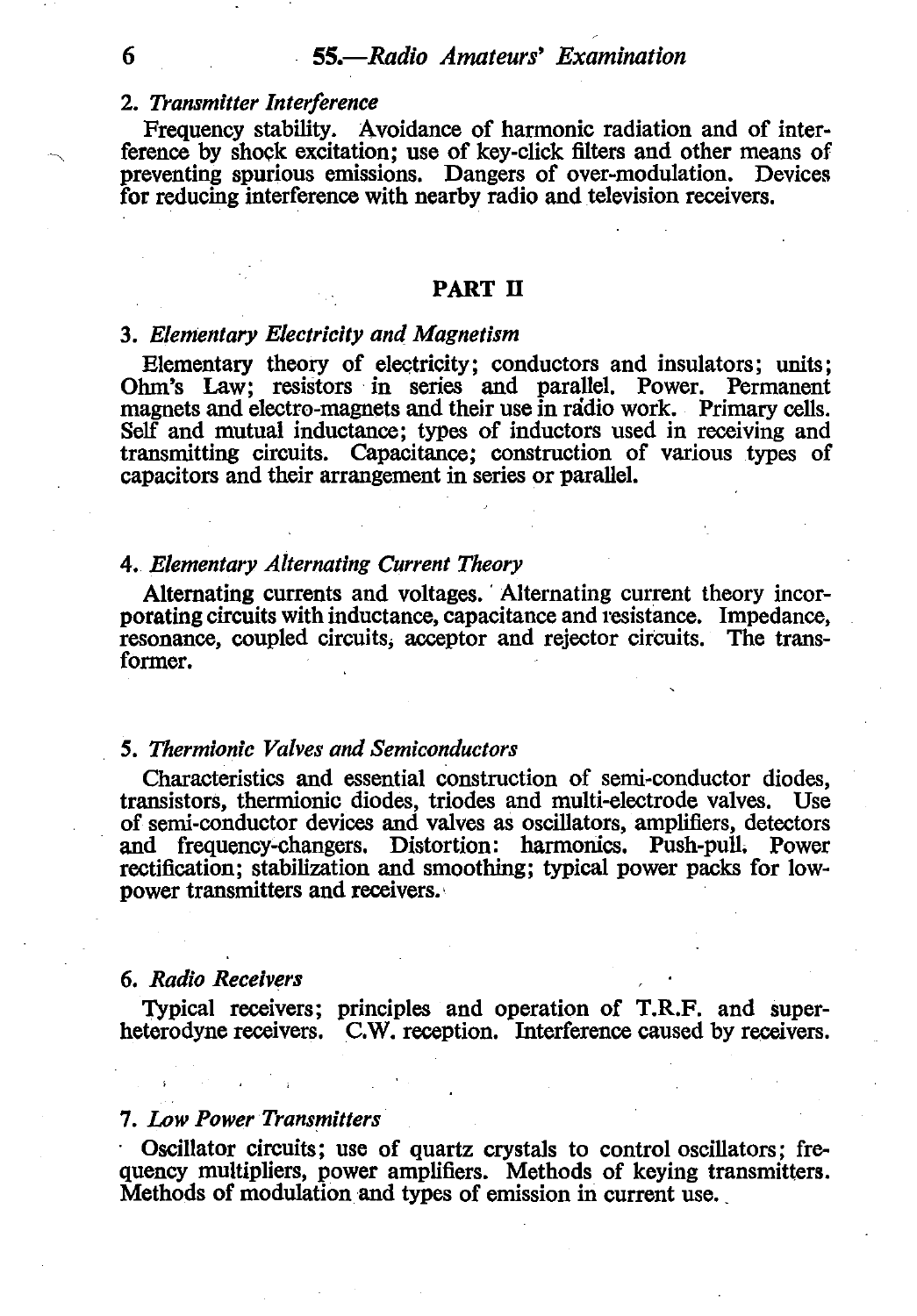#### 2. *Transmitter Interference*

Frequency stability. Avoidance of harmonic radiation and of interference by shock excitation; use of key-click filters and other means of preventing spurious emissions. Dangers of over-modulation. Devices for reducing interference with nearby radio and television receivers.

#### PART II

#### 3. *Elementary Electricity and Magnetism*

Elementary theory of electricity; conductors and insulators; units; Ohm's Law; resistors in series and parallel. Power. Permanent magnets and electro-magnets and their use in radio work. Primary cells. Self and mutual inductance; types of inductors used in receiving and transmitting circuits. Capacitance; construction of various types of capacitors and their arrangement in series or parallel.

#### 4. *Elementary Alternating Current Theory*

Alternating currents and voltages. Alternating current theory incorporating circuits with inductance, capacitance and resistance. Impedance, resonance, coupled circuits; acceptor and rejector circuits. The transformer.

#### *5. Thermionic Valves and Semiconductors*

Characteristics and essential construction of semi-conductor diodes, transistors, thermionic diodes, triodes and multi-electrode valves. Use of semi-conductor devices and valves as oscillators, amplifiers, detectors and frequency-changers. Distortion: harmonics. Push-pull. Power rectification; stabilization and smoothing; typical power packs for lowpower transmitters and receivers.·

#### 6. *Radio Receivers*

Typical receivers; principles and operation of T.R.F. and superheterodyne receivers. C.W. reception. Interference caused by receivers.

#### *1. Low Power Transmitters*

· Oscillator circuits; use of quartz crystals to control oscillators; frequency multipliers, power amplifiers. Methods of keying transmitters. Methods of modulation and types of emission in current use.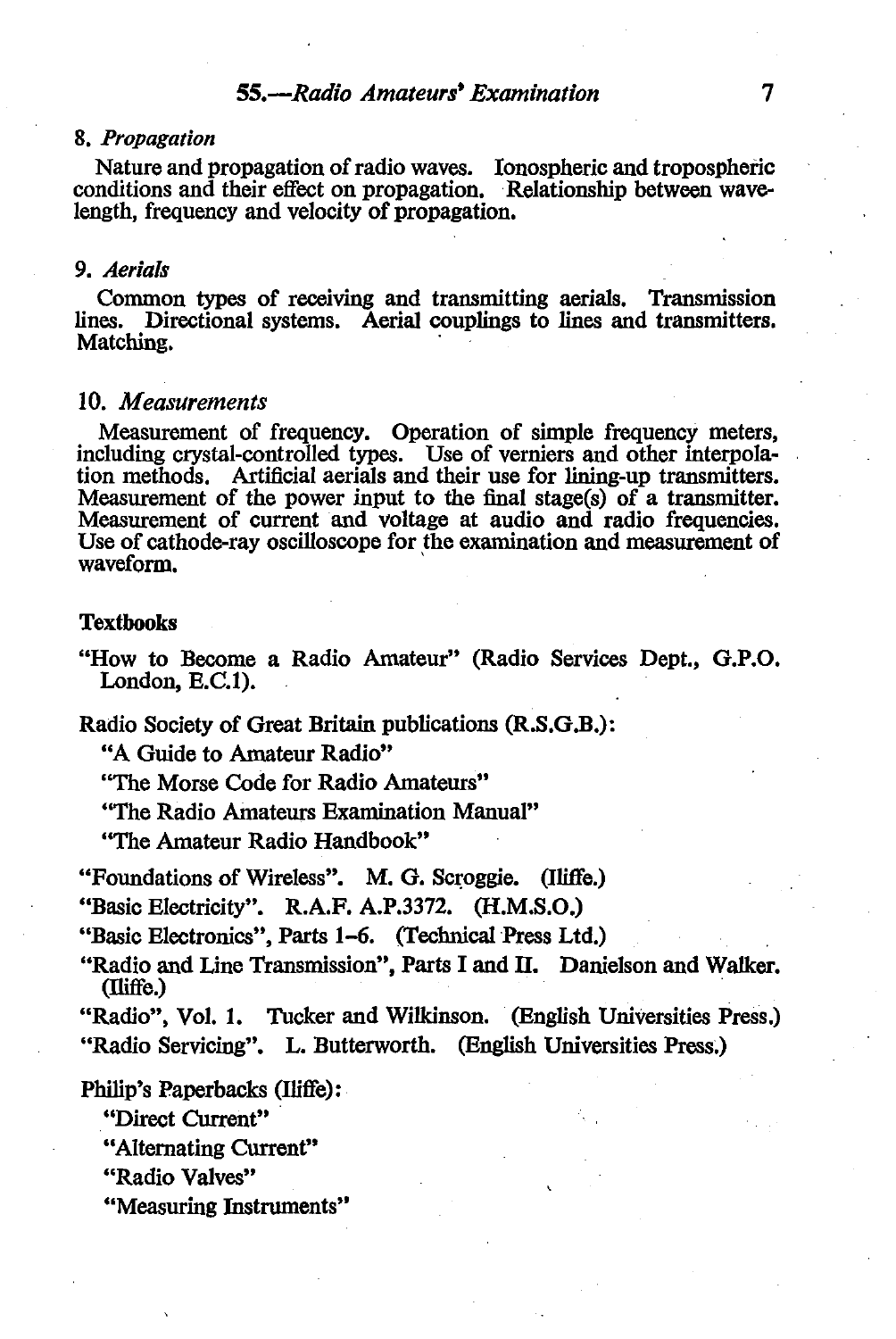#### 8. *Propagation*

Nature and propagation of radio waves. Ionospheric and tropospheric conditions and their effect on propagation. Relationship between wavelength, frequency and velocity of propagation.

#### 9. *Aerials*

Common types of receiving and transmitting aerials. Transmission lines. Directional systems. Aerial couplings to lines and transmitters. Matching.

#### 10. *Measurements*

Measurement of frequency. Operation of simple frequency meters, including crystal-controlled types. Use of verniers and other interpolation methods. Artificial aerials and their use for lining-up transmitters. Measurement of the power input to the final stage(s) of a transmitter. Measurement of current and voltage at audio and radio frequencies. Use of cathode-ray oscilloscope for the examination and measurement of waveform.

#### **Textbooks**

"How to Become a Radio Amateur" (Radio Services Dept., **G.P.O.**  London, E.C.1).

Radio Society of Great Britain publications (R.S.G.B.):

"A Guide to Amateur Radio"

"The Morse Code for Radio Amateurs"

"The Radio Amateurs Examination Manual"

"The Amateur Radio Handbook"

"Foundations of Wireless". M. G. Scroggie. (Iliffe.)

"Basic Electricity". R.A.F. A.P.3372. (H.M.S.O.)

"Basic Electronics", Parts 1-6. (Technical Press Ltd.)

"Radio and Line Transmission", Parts I and II. Danielson and Walker.  $($ Iliffe. $)$ 

"Radio", Vol. 1. Tucker and Wilkinson. (English Universities Press.) "Radio Servicing". L. Butterworth. (English Universities Press;)

#### Philip's Paperbacks (Iliffe):

"Direct Current"

"Alternating Current'"

"Radio Valves"

"Measuring Instruments"